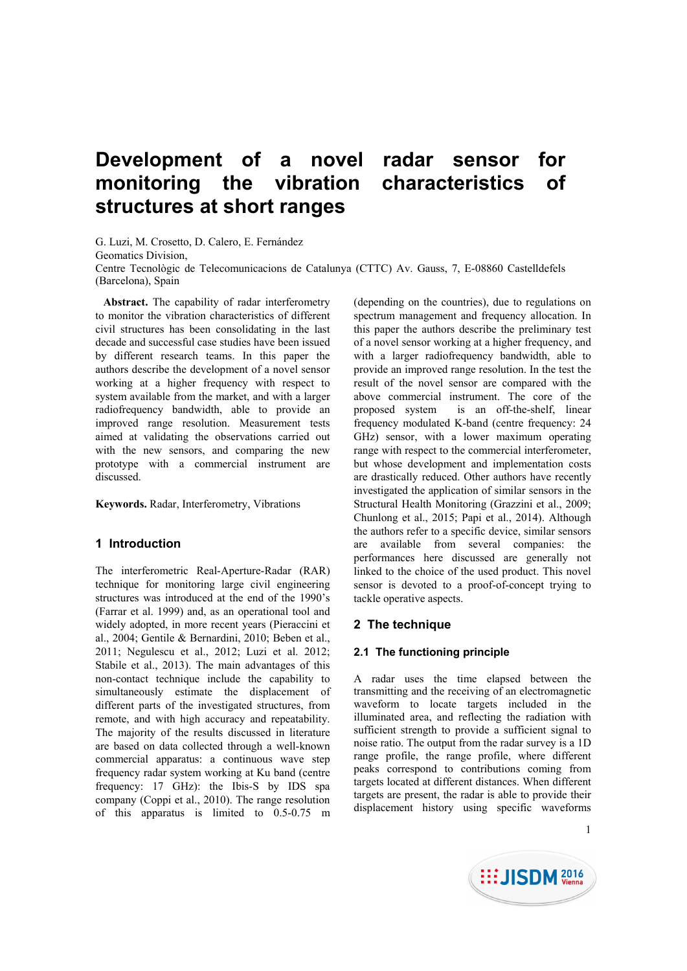# **Development of a novel radar sensor for monitoring the vibration characteristics of structures at short ranges**

G. Luzi, M. Crosetto, D. Calero, E. Fernández

Geomatics Division,

Centre Tecnològic de Telecomunicacions de Catalunya (CTTC) Av. Gauss, 7, E-08860 Castelldefels (Barcelona), Spain

**Abstract.** The capability of radar interferometry to monitor the vibration characteristics of different civil structures has been consolidating in the last decade and successful case studies have been issued by different research teams. In this paper the authors describe the development of a novel sensor working at a higher frequency with respect to system available from the market, and with a larger radiofrequency bandwidth, able to provide an improved range resolution. Measurement tests aimed at validating the observations carried out with the new sensors, and comparing the new prototype with a commercial instrument are discussed.

**Keywords.** Radar, Interferometry, Vibrations

# **1 Introduction**

The interferometric Real-Aperture-Radar (RAR) technique for monitoring large civil engineering structures was introduced at the end of the 1990's (Farrar et al. 1999) and, as an operational tool and widely adopted, in more recent years (Pieraccini et al., 2004; Gentile & Bernardini, 2010; Beben et al., 2011; Negulescu et al., 2012; Luzi et al. 2012; Stabile et al., 2013). The main advantages of this non-contact technique include the capability to simultaneously estimate the displacement of different parts of the investigated structures, from remote, and with high accuracy and repeatability. The majority of the results discussed in literature are based on data collected through a well-known commercial apparatus: a continuous wave step frequency radar system working at Ku band (centre frequency: 17 GHz): the Ibis-S by IDS spa company (Coppi et al., 2010). The range resolution of this apparatus is limited to 0.5-0.75 m (depending on the countries), due to regulations on spectrum management and frequency allocation. In this paper the authors describe the preliminary test of a novel sensor working at a higher frequency, and with a larger radiofrequency bandwidth, able to provide an improved range resolution. In the test the result of the novel sensor are compared with the above commercial instrument. The core of the proposed system is an off-the-shelf, linear frequency modulated K-band (centre frequency: 24 GHz) sensor, with a lower maximum operating range with respect to the commercial interferometer, but whose development and implementation costs are drastically reduced. Other authors have recently investigated the application of similar sensors in the Structural Health Monitoring (Grazzini et al., 2009; Chunlong et al., 2015; Papi et al., 2014). Although the authors refer to a specific device, similar sensors are available from several companies: the performances here discussed are generally not linked to the choice of the used product. This novel sensor is devoted to a proof-of-concept trying to tackle operative aspects.

# **2 The technique**

# **2.1 The functioning principle**

A radar uses the time elapsed between the transmitting and the receiving of an electromagnetic waveform to locate targets included in the illuminated area, and reflecting the radiation with sufficient strength to provide a sufficient signal to noise ratio. The output from the radar survey is a 1D range profile, the range profile, where different peaks correspond to contributions coming from targets located at different distances. When different targets are present, the radar is able to provide their displacement history using specific waveforms



1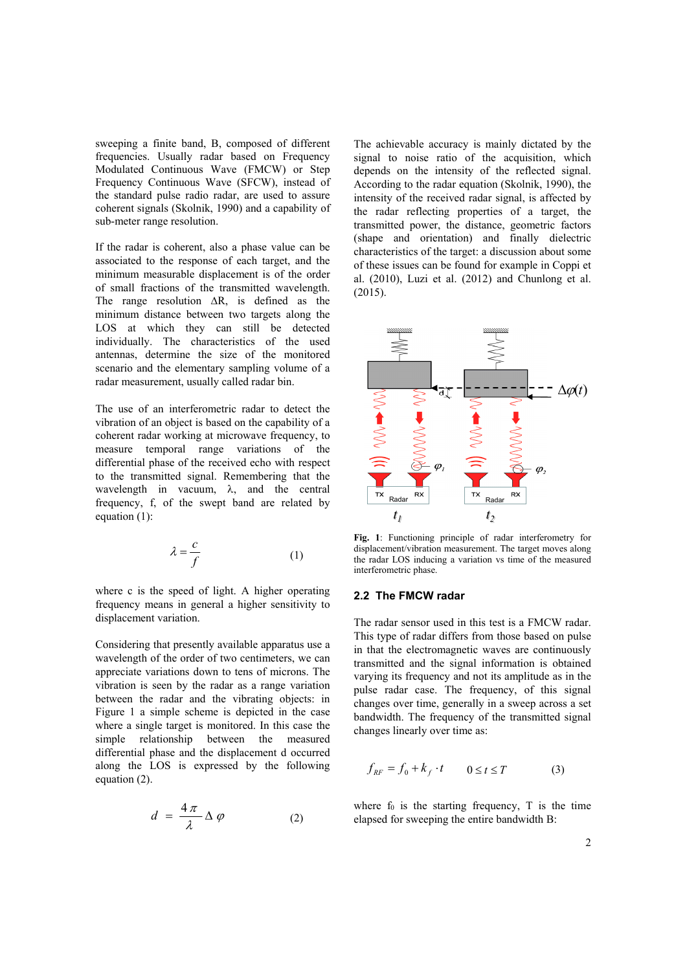sweeping a finite band, B, composed of different frequencies. Usually radar based on Frequency Modulated Continuous Wave (FMCW) or Step Frequency Continuous Wave (SFCW), instead of the standard pulse radio radar, are used to assure coherent signals (Skolnik, 1990) and a capability of sub-meter range resolution.

If the radar is coherent, also a phase value can be associated to the response of each target, and the minimum measurable displacement is of the order of small fractions of the transmitted wavelength. The range resolution  $\Delta R$ , is defined as the minimum distance between two targets along the LOS at which they can still be detected individually. The characteristics of the used antennas, determine the size of the monitored scenario and the elementary sampling volume of a radar measurement, usually called radar bin.

The use of an interferometric radar to detect the vibration of an object is based on the capability of a coherent radar working at microwave frequency, to measure temporal range variations of the differential phase of the received echo with respect to the transmitted signal. Remembering that the wavelength in vacuum,  $\lambda$ , and the central frequency, f, of the swept band are related by equation (1):

$$
\lambda = \frac{c}{f} \tag{1}
$$

where c is the speed of light. A higher operating frequency means in general a higher sensitivity to displacement variation.

Considering that presently available apparatus use a wavelength of the order of two centimeters, we can appreciate variations down to tens of microns. The vibration is seen by the radar as a range variation between the radar and the vibrating objects: in Figure 1 a simple scheme is depicted in the case where a single target is monitored. In this case the simple relationship between the measured differential phase and the displacement d occurred along the LOS is expressed by the following equation (2).

$$
d = \frac{4\,\pi}{\lambda} \,\Delta \,\varphi \tag{2}
$$

The achievable accuracy is mainly dictated by the signal to noise ratio of the acquisition, which depends on the intensity of the reflected signal. According to the radar equation (Skolnik, 1990), the intensity of the received radar signal, is affected by the radar reflecting properties of a target, the transmitted power, the distance, geometric factors (shape and orientation) and finally dielectric characteristics of the target: a discussion about some of these issues can be found for example in Coppi et al. (2010), Luzi et al. (2012) and Chunlong et al. (2015).



**Fig. 1**: Functioning principle of radar interferometry for displacement/vibration measurement. The target moves along the radar LOS inducing a variation vs time of the measured interferometric phase.

#### **2.2 The FMCW radar**

The radar sensor used in this test is a FMCW radar. This type of radar differs from those based on pulse in that the electromagnetic waves are continuously transmitted and the signal information is obtained varying its frequency and not its amplitude as in the pulse radar case. The frequency, of this signal changes over time, generally in a sweep across a set bandwidth. The frequency of the transmitted signal changes linearly over time as:

$$
f_{RF} = f_0 + k_f \cdot t \qquad 0 \le t \le T \tag{3}
$$

where  $f_0$  is the starting frequency,  $T$  is the time elapsed for sweeping the entire bandwidth B: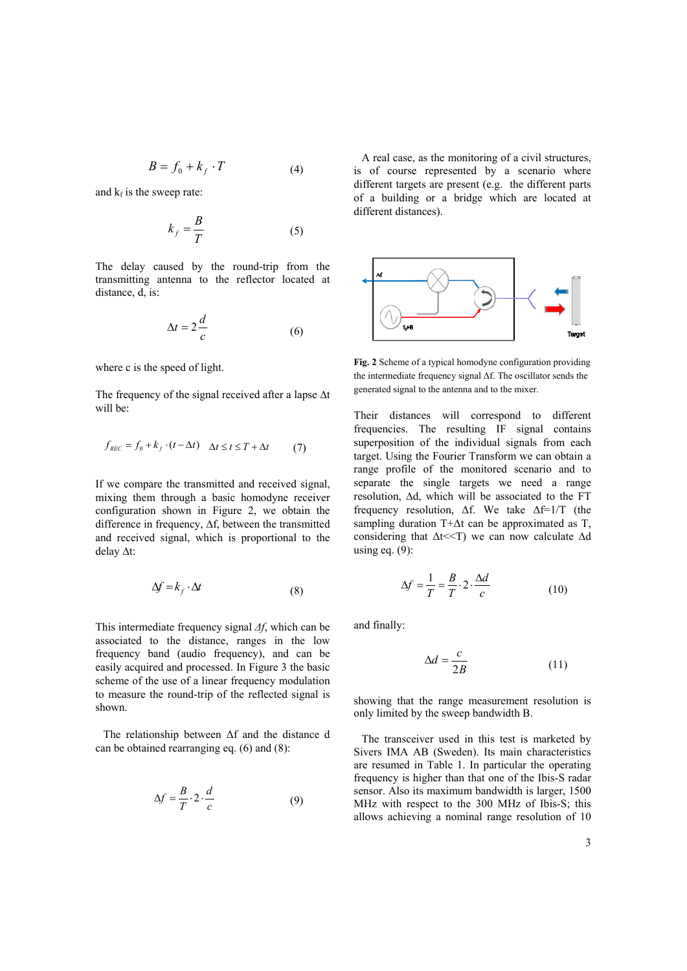$$
B = f_0 + k_f \cdot T \tag{4}
$$

and  $k_f$  is the sweep rate:

$$
k_f = \frac{B}{T} \tag{5}
$$

The delay caused by the round-trip from the transmitting antenna to the reflector located at distance, d, is:

$$
\Delta t = 2 \frac{d}{c} \tag{6}
$$

where c is the speed of light.

The frequency of the signal received after a lapse  $\Delta t$ will be:

$$
f_{REC} = f_0 + k_f \cdot (t - \Delta t) \quad \Delta t \le t \le T + \Delta t \tag{7}
$$

If we compare the transmitted and received signal, mixing them through a basic homodyne receiver configuration shown in Figure 2, we obtain the difference in frequency,  $\Delta f$ , between the transmitted and received signal, which is proportional to the delay  $\Delta t$ :

$$
\Delta f = k_f \cdot \Delta t \tag{8}
$$

This intermediate frequency signal *Δf*, which can be associated to the distance, ranges in the low frequency band (audio frequency), and can be easily acquired and processed. In Figure 3 the basic scheme of the use of a linear frequency modulation to measure the round-trip of the reflected signal is shown.

The relationship between Δf and the distance d can be obtained rearranging eq. (6) and (8):

$$
\Delta f = \frac{B}{T} \cdot 2 \cdot \frac{d}{c} \tag{9}
$$

A real case, as the monitoring of a civil structures, is of course represented by a scenario where different targets are present (e.g. the different parts of a building or a bridge which are located at different distances).



**Fig. 2** Scheme of a typical homodyne configuration providing the intermediate frequency signal Δf. The oscillator sends the generated signal to the antenna and to the mixer.

Their distances will correspond to different frequencies. The resulting IF signal contains superposition of the individual signals from each target. Using the Fourier Transform we can obtain a range profile of the monitored scenario and to separate the single targets we need a range resolution,  $\Delta d$ , which will be associated to the FT frequency resolution,  $\Delta f$ . We take  $\Delta f = 1/T$  (the sampling duration T+Δt can be approximated as T, considering that  $\Delta t \ll T$ ) we can now calculate  $\Delta d$ using eq.  $(9)$ :

$$
\Delta f = \frac{1}{T} = \frac{B}{T} \cdot 2 \cdot \frac{\Delta d}{c}
$$
 (10)

and finally:

$$
\Delta d = \frac{c}{2B} \tag{11}
$$

showing that the range measurement resolution is only limited by the sweep bandwidth B.

The transceiver used in this test is marketed by Sivers IMA AB (Sweden). Its main characteristics are resumed in Table 1. In particular the operating frequency is higher than that one of the Ibis-S radar sensor. Also its maximum bandwidth is larger, 1500 MHz with respect to the 300 MHz of Ibis-S; this allows achieving a nominal range resolution of 10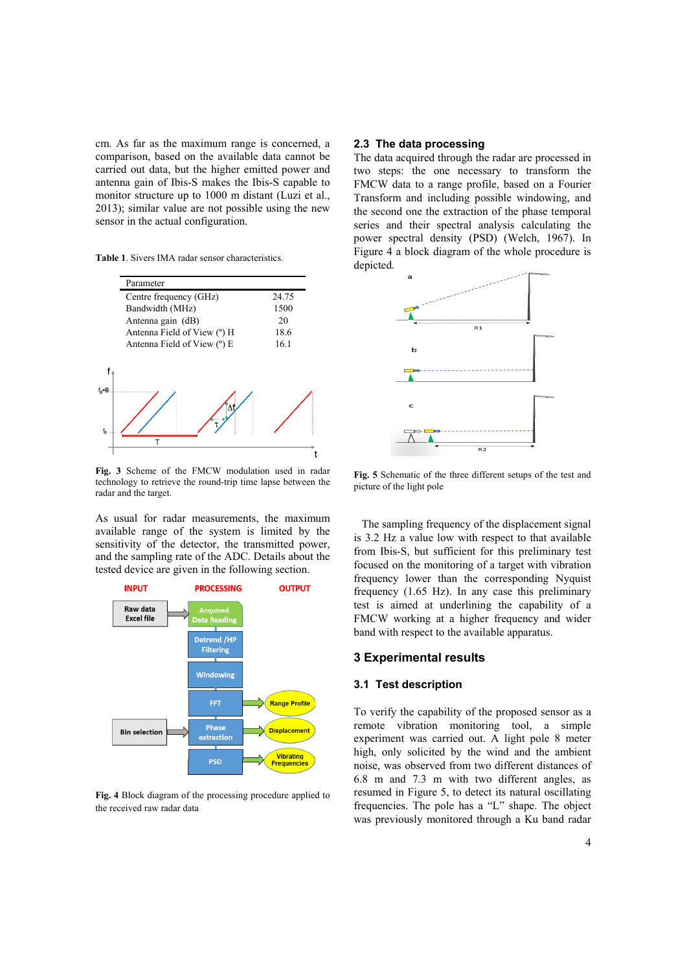cm. As far as the maximum range is concerned, a comparison, based on the available data cannot be carried out data, but the higher emitted power and antenna gain of Ibis-S makes the Ibis-S capable to monitor structure up to 1000 m distant (Luzi et al., 2013); similar value are not possible using the new sensor in the actual configuration.

**Table 1**. Sivers IMA radar sensor characteristics.

| Parameter                   |       |
|-----------------------------|-------|
| Centre frequency (GHz)      | 24.75 |
| Bandwidth (MHz)             | 1500  |
| Antenna gain (dB)           | 20    |
| Antenna Field of View (°) H | 18.6  |
| Antenna Field of View (°) E | 16.1  |
|                             |       |
|                             |       |

**Fig. 3** Scheme of the FMCW modulation used in radar technology to retrieve the round-trip time lapse between the radar and the target.

As usual for radar measurements, the maximum available range of the system is limited by the sensitivity of the detector, the transmitted power, and the sampling rate of the ADC. Details about the tested device are given in the following section.



**Fig. 4** Block diagram of the processing procedure applied to the received raw radar data

# **2.3 The data processing**

The data acquired through the radar are processed in two steps: the one necessary to transform the FMCW data to a range profile, based on a Fourier Transform and including possible windowing, and the second one the extraction of the phase temporal series and their spectral analysis calculating the power spectral density (PSD) (Welch, 1967). In Figure 4 a block diagram of the whole procedure is depicted.



**Fig. 5** Schematic of the three different setups of the test and picture of the light pole

The sampling frequency of the displacement signal is 3.2 Hz a value low with respect to that available from Ibis-S, but sufficient for this preliminary test focused on the monitoring of a target with vibration frequency lower than the corresponding Nyquist frequency (1.65 Hz). In any case this preliminary test is aimed at underlining the capability of a FMCW working at a higher frequency and wider band with respect to the available apparatus.

#### **3 Experimental results**

#### **3.1 Test description**

To verify the capability of the proposed sensor as a remote vibration monitoring tool, a simple experiment was carried out. A light pole 8 meter high, only solicited by the wind and the ambient noise, was observed from two different distances of 6.8 m and 7.3 m with two different angles, as resumed in Figure 5, to detect its natural oscillating frequencies. The pole has a "L" shape. The object was previously monitored through a Ku band radar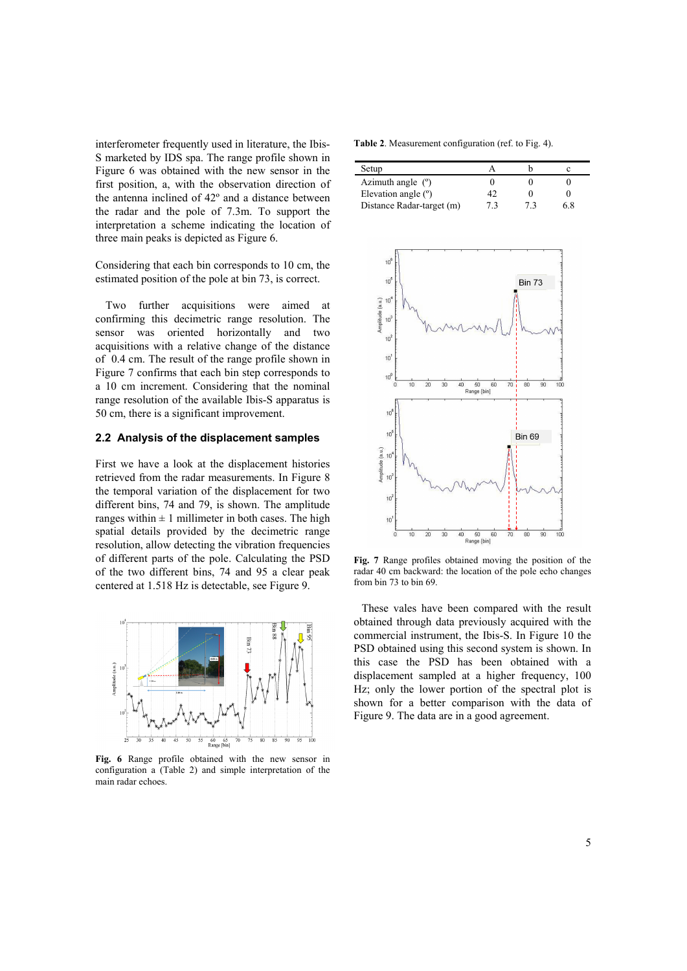interferometer frequently used in literature, the Ibis-S marketed by IDS spa. The range profile shown in Figure 6 was obtained with the new sensor in the first position, a, with the observation direction of the antenna inclined of 42º and a distance between the radar and the pole of 7.3m. To support the interpretation a scheme indicating the location of three main peaks is depicted as Figure 6.

Considering that each bin corresponds to 10 cm, the estimated position of the pole at bin 73, is correct.

Two further acquisitions were aimed at confirming this decimetric range resolution. The sensor was oriented horizontally and two acquisitions with a relative change of the distance of 0.4 cm. The result of the range profile shown in Figure 7 confirms that each bin step corresponds to a 10 cm increment. Considering that the nominal range resolution of the available Ibis-S apparatus is 50 cm, there is a significant improvement.

## **2.2 Analysis of the displacement samples**

First we have a look at the displacement histories retrieved from the radar measurements. In Figure 8 the temporal variation of the displacement for two different bins, 74 and 79, is shown. The amplitude ranges within  $\pm 1$  millimeter in both cases. The high spatial details provided by the decimetric range resolution, allow detecting the vibration frequencies of different parts of the pole. Calculating the PSD of the two different bins, 74 and 95 a clear peak centered at 1.518 Hz is detectable, see Figure 9.



**Fig. 6** Range profile obtained with the new sensor in configuration a (Table 2) and simple interpretation of the main radar echoes.

**Table 2**. Measurement configuration (ref. to Fig. 4).

| Setup                     |    |    |     |
|---------------------------|----|----|-----|
| Azimuth angle $(°)$       |    |    |     |
| Elevation angle $(°)$     |    |    |     |
| Distance Radar-target (m) | 73 | 73 | ና ጸ |



**Fig. 7** Range profiles obtained moving the position of the radar 40 cm backward: the location of the pole echo changes from bin 73 to bin 69.

These vales have been compared with the result obtained through data previously acquired with the commercial instrument, the Ibis-S. In Figure 10 the PSD obtained using this second system is shown. In this case the PSD has been obtained with a displacement sampled at a higher frequency, 100 Hz; only the lower portion of the spectral plot is shown for a better comparison with the data of Figure 9. The data are in a good agreement.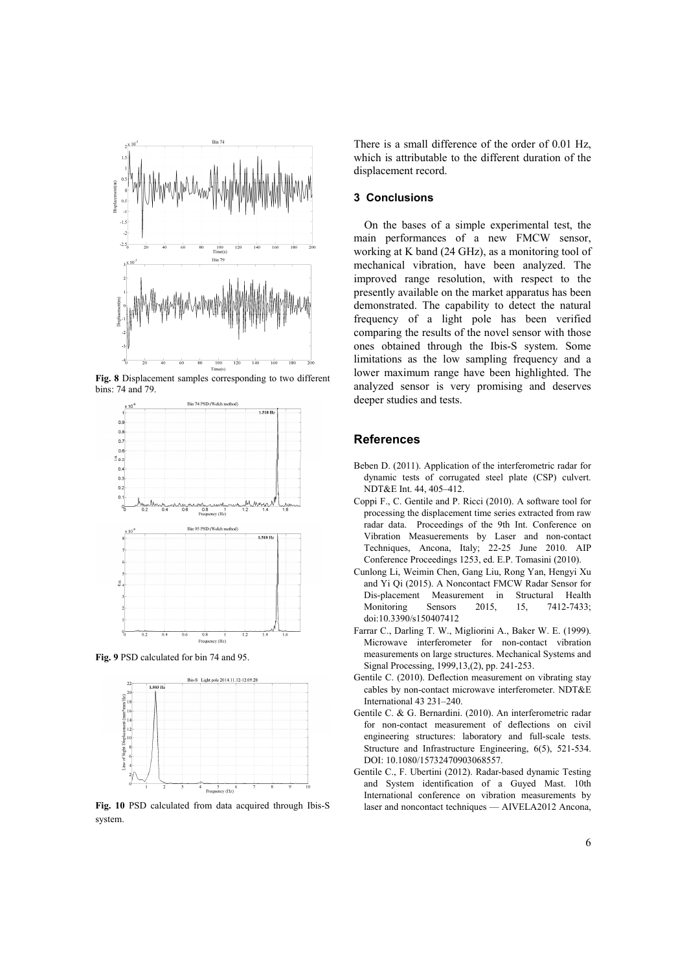

**Fig. 8** Displacement samples corresponding to two different bins: 74 and 79.



**Fig. 9** PSD calculated for bin 74 and 95.



**Fig. 10** PSD calculated from data acquired through Ibis-S system.

There is a small difference of the order of 0.01 Hz, which is attributable to the different duration of the displacement record.

### **3 Conclusions**

On the bases of a simple experimental test, the main performances of a new FMCW sensor, working at K band (24 GHz), as a monitoring tool of mechanical vibration, have been analyzed. The improved range resolution, with respect to the presently available on the market apparatus has been demonstrated. The capability to detect the natural frequency of a light pole has been verified comparing the results of the novel sensor with those ones obtained through the Ibis-S system. Some limitations as the low sampling frequency and a lower maximum range have been highlighted. The analyzed sensor is very promising and deserves deeper studies and tests.

#### **References**

- Beben D. (2011). Application of the interferometric radar for dynamic tests of corrugated steel plate (CSP) culvert. NDT&E Int. 44, 405–412.
- Coppi F., C. Gentile and P. Ricci (2010). A software tool for processing the displacement time series extracted from raw radar data. Proceedings of the 9th Int. Conference on Vibration Measuerements by Laser and non-contact Techniques, Ancona, Italy; 22-25 June 2010. AIP Conference Proceedings 1253, ed. E.P. Tomasini (2010).
- Cunlong Li, Weimin Chen, Gang Liu, Rong Yan, Hengyi Xu and Yi Qi (2015). A Noncontact FMCW Radar Sensor for Dis-placement Measurement in Structural Health Monitoring Sensors 2015, 15, 7412-7433; doi:10.3390/s150407412
- Farrar C., Darling T. W., Migliorini A., Baker W. E. (1999). Microwave interferometer for non-contact vibration measurements on large structures. Mechanical Systems and Signal Processing, 1999,13,(2), pp. 241-253.
- Gentile C. (2010). Deflection measurement on vibrating stay cables by non-contact microwave interferometer. NDT&E International 43 231–240.
- Gentile C. & G. Bernardini. (2010). An interferometric radar for non-contact measurement of deflections on civil engineering structures: laboratory and full-scale tests. Structure and Infrastructure Engineering, 6(5), 521-534. DOI: 10.1080/15732470903068557.
- Gentile C., F. Ubertini (2012). Radar-based dynamic Testing and System identification of a Guyed Mast. 10th International conference on vibration measurements by laser and noncontact techniques — AIVELA2012 Ancona,